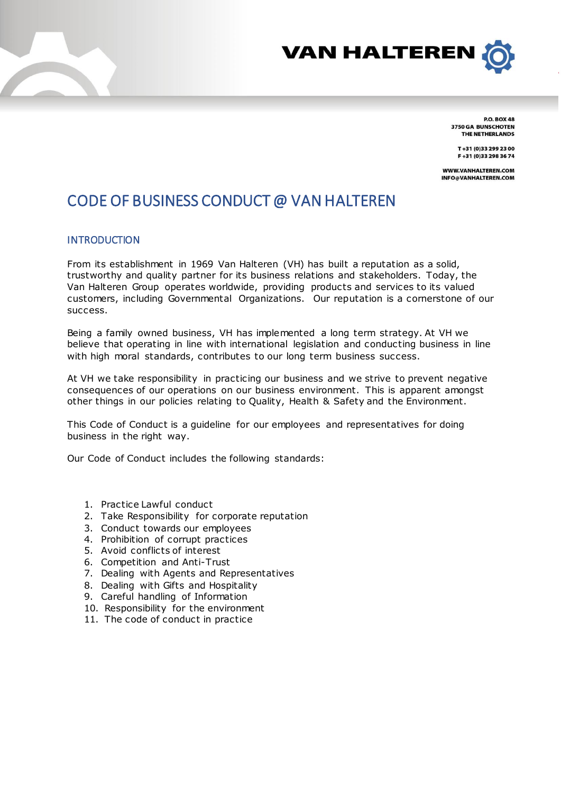



**P.O. BOX 48** 3750 GA BUNSCHOTEN THE NETHERLANDS

T+31 (0)33 299 23 00 F+31 (0)33 298 36 74

WWW.VANHALTEREN.COM INFO@VANHALTEREN.COM

# CODE OF BUSINESS CONDUCT @ VAN HALTEREN

### **INTRODUCTION**

From its establishment in 1969 Van Halteren (VH) has built a reputation as a solid, trustworthy and quality partner for its business relations and stakeholders. Today, the Van Halteren Group operates worldwide, providing products and services to its valued customers, including Governmental Organizations. Our reputation is a cornerstone of our success.

Being a family owned business, VH has implemented a long term strategy. At VH we believe that operating in line with international legislation and conducting business in line with high moral standards, contributes to our long term business success.

At VH we take responsibility in practicing our business and we strive to prevent negative consequences of our operations on our business environment. This is apparent amongst other things in our policies relating to Quality, Health & Safety and the Environment.

This Code of Conduct is a guideline for our employees and representatives for doing business in the right way.

Our Code of Conduct includes the following standards:

- 1. Practice Lawful conduct
- 2. Take Responsibility for corporate reputation
- 3. Conduct towards our employees
- 4. Prohibition of corrupt practices
- 5. Avoid conflicts of interest
- 6. Competition and Anti-Trust
- 7. Dealing with Agents and Representatives
- 8. Dealing with Gifts and Hospitality
- 9. Careful handling of Information
- 10. Responsibility for the environment
- 11. The code of conduct in practice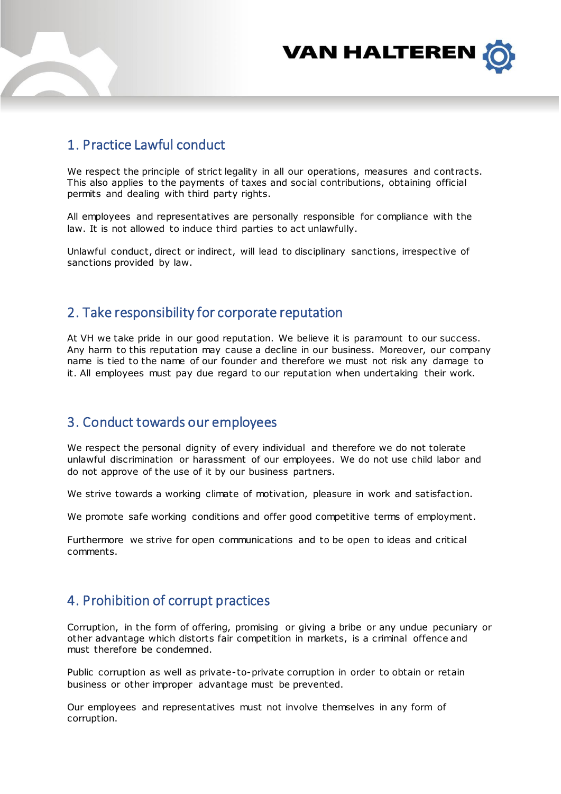

## 1. Practice Lawful conduct

We respect the principle of strict legality in all our operations, measures and contracts. This also applies to the payments of taxes and social contributions, obtaining official permits and dealing with third party rights.

All employees and representatives are personally responsible for compliance with the law. It is not allowed to induce third parties to act unlawfully.

Unlawful conduct, direct or indirect, will lead to disciplinary sanctions, irrespective of sanctions provided by law.

### 2. Take responsibility for corporate reputation

At VH we take pride in our good reputation. We believe it is paramount to our success. Any harm to this reputation may cause a decline in our business. Moreover, our company name is tied to the name of our founder and therefore we must not risk any damage to it. All employees must pay due regard to our reputation when undertaking their work.

### 3. Conduct towards our employees

We respect the personal dignity of every individual and therefore we do not tolerate unlawful discrimination or harassment of our employees. We do not use child labor and do not approve of the use of it by our business partners.

We strive towards a working climate of motivation, pleasure in work and satisfaction.

We promote safe working conditions and offer good competitive terms of employment.

Furthermore we strive for open communications and to be open to ideas and critical comments.

## 4. Prohibition of corrupt practices

Corruption, in the form of offering, promising or giving a bribe or any undue pecuniary or other advantage which distorts fair competition in markets, is a criminal offence and must therefore be condemned.

Public corruption as well as private-to-private corruption in order to obtain or retain business or other improper advantage must be prevented.

Our employees and representatives must not involve themselves in any form of corruption.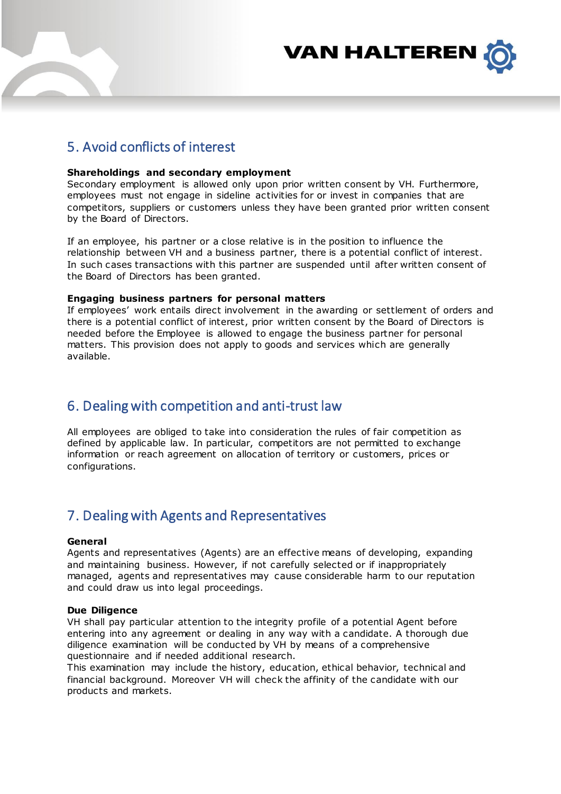

## 5. Avoid conflicts of interest

### **Shareholdings and secondary employment**

Secondary employment is allowed only upon prior written consent by VH. Furthermore, employees must not engage in sideline activities for or invest in companies that are competitors, suppliers or customers unless they have been granted prior written consent by the Board of Directors.

If an employee, his partner or a close relative is in the position to influence the relationship between VH and a business partner, there is a potential conflict of interest. In such cases transactions with this partner are suspended until after written consent of the Board of Directors has been granted.

#### **Engaging business partners for personal matters**

If employees' work entails direct involvement in the awarding or settlement of orders and there is a potential conflict of interest, prior written consent by the Board of Directors is needed before the Employee is allowed to engage the business partner for personal matters. This provision does not apply to goods and services which are generally available.

## 6. Dealing with competition and anti-trust law

All employees are obliged to take into consideration the rules of fair competition as defined by applicable law. In particular, competitors are not permitted to exchange information or reach agreement on allocation of territory or customers, prices or configurations.

### 7. Dealing with Agents and Representatives

#### **General**

Agents and representatives (Agents) are an effective means of developing, expanding and maintaining business. However, if not carefully selected or if inappropriately managed, agents and representatives may cause considerable harm to our reputation and could draw us into legal proceedings.

#### **Due Diligence**

VH shall pay particular attention to the integrity profile of a potential Agent before entering into any agreement or dealing in any way with a candidate. A thorough due diligence examination will be conducted by VH by means of a comprehensive questionnaire and if needed additional research.

This examination may include the history, education, ethical behavior, technical and financial background. Moreover VH will check the affinity of the candidate with our products and markets.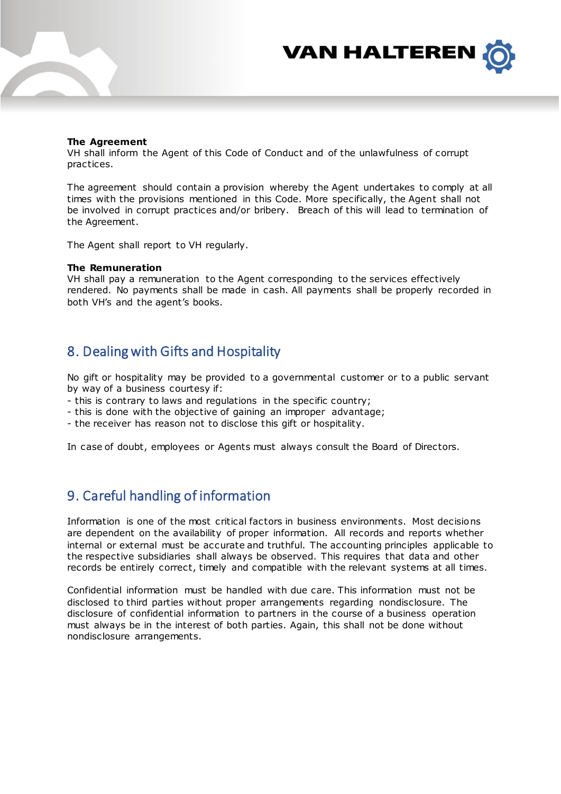

#### **The Agreement**

VH shall inform the Agent of this Code of Conduct and of the unlawfulness of corrupt practices.

The agreement should contain a provision whereby the Agent undertakes to comply at all times with the provisions mentioned in this Code. More specifically, the Agent shall not be involved in corrupt practices and/or bribery. Breach of this will lead to termination of the Agreement.

The Agent shall report to VH regularly.

#### **The Remuneration**

VH shall pay a remuneration to the Agent corresponding to the services effectively rendered. No payments shall be made in cash. All payments shall be properly recorded in both VH's and the agent's books.

### 8. Dealing with Gifts and Hospitality

No gift or hospitality may be provided to a governmental customer or to a public servant by way of a business courtesy if:

- this is contrary to laws and regulations in the specific country;
- this is done with the objective of gaining an improper advantage;
- the receiver has reason not to disclose this gift or hospitality.

In case of doubt, employees or Agents must always consult the Board of Directors.

## 9. Careful handling of information

Information is one of the most critical factors in business environments. Most decisions are dependent on the availability of proper information. All records and reports whether internal or external must be accurate and truthful. The accounting principles applicable to the respective subsidiaries shall always be observed. This requires that data and other records be entirely correct, timely and compatible with the relevant systems at all times.

Confidential information must be handled with due care. This information must not be disclosed to third parties without proper arrangements regarding nondisclosure. The disclosure of confidential information to partners in the course of a business operation must always be in the interest of both parties. Again, this shall not be done without nondisclosure arrangements.